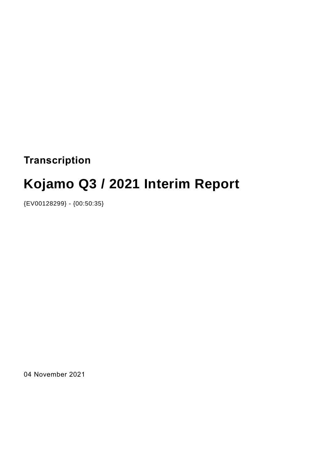# **Transcription**

# **Kojamo Q3 / 2021 Interim Report**

{EV00128299} - {00:50:35}

04 November 2021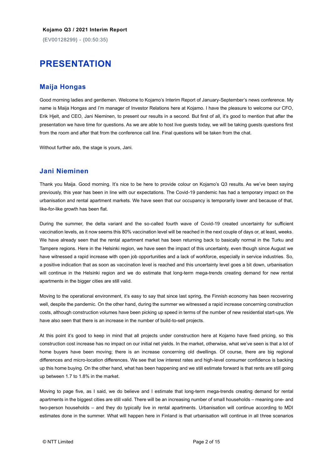{EV00128299} - {00:50:35}

# **PRESENTATION**

#### **Maija Hongas**

Good morning ladies and gentlemen. Welcome to Kojamo's Interim Report of January-September's news conference. My name is Maija Hongas and I'm manager of Investor Relations here at Kojamo. I have the pleasure to welcome our CFO, Erik Hjelt, and CEO, Jani Nieminen, to present our results in a second. But first of all, it's good to mention that after the presentation we have time for questions. As we are able to host live guests today, we will be taking guests questions first from the room and after that from the conference call line. Final questions will be taken from the chat.

Without further ado, the stage is yours, Jani.

#### **Jani Nieminen**

Thank you Maija. Good morning. It's nice to be here to provide colour on Kojamo's Q3 results. As we've been saying previously, this year has been in line with our expectations. The Covid-19 pandemic has had a temporary impact on the urbanisation and rental apartment markets. We have seen that our occupancy is temporarily lower and because of that, like-for-like growth has been flat.

During the summer, the delta variant and the so-called fourth wave of Covid-19 created uncertainty for sufficient vaccination levels, as it now seems this 80% vaccination level will be reached in the next couple of days or, at least, weeks. We have already seen that the rental apartment market has been returning back to basically normal in the Turku and Tampere regions. Here in the Helsinki region, we have seen the impact of this uncertainty, even though since August we have witnessed a rapid increase with open job opportunities and a lack of workforce, especially in service industries. So, a positive indication that as soon as vaccination level is reached and this uncertainty level goes a bit down, urbanisation will continue in the Helsinki region and we do estimate that long-term mega-trends creating demand for new rental apartments in the bigger cities are still valid.

Moving to the operational environment, it's easy to say that since last spring, the Finnish economy has been recovering well, despite the pandemic. On the other hand, during the summer we witnessed a rapid increase concerning construction costs, although construction volumes have been picking up speed in terms of the number of new residential start-ups. We have also seen that there is an increase in the number of build-to-sell projects.

At this point it's good to keep in mind that all projects under construction here at Kojamo have fixed pricing, so this construction cost increase has no impact on our initial net yields. In the market, otherwise, what we've seen is that a lot of home buyers have been moving; there is an increase concerning old dwellings. Of course, there are big regional differences and micro-location differences. We see that low interest rates and high-level consumer confidence is backing up this home buying. On the other hand, what has been happening and we still estimate forward is that rents are still going up between 1.7 to 1.8% in the market.

Moving to page five, as I said, we do believe and I estimate that long-term mega-trends creating demand for rental apartments in the biggest cities are still valid. There will be an increasing number of small households – meaning one- and two-person households – and they do typically live in rental apartments. Urbanisation will continue according to MDI estimates done in the summer. What will happen here in Finland is that urbanisation will continue in all three scenarios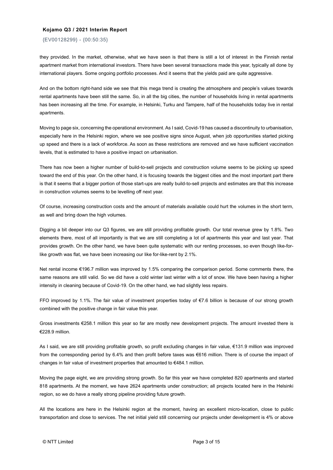{EV00128299} - {00:50:35}

they provided. In the market, otherwise, what we have seen is that there is still a lot of interest in the Finnish rental apartment market from international investors. There have been several transactions made this year, typically all done by international players. Some ongoing portfolio processes. And it seems that the yields paid are quite aggressive.

And on the bottom right-hand side we see that this mega trend is creating the atmosphere and people's values towards rental apartments have been still the same. So, in all the big cities, the number of households living in rental apartments has been increasing all the time. For example, in Helsinki, Turku and Tampere, half of the households today live in rental apartments.

Moving to page six, concerning the operational environment. As I said, Covid-19 has caused a discontinuity to urbanisation, especially here in the Helsinki region, where we see positive signs since August, when job opportunities started picking up speed and there is a lack of workforce. As soon as these restrictions are removed and we have sufficient vaccination levels, that is estimated to have a positive impact on urbanisation.

There has now been a higher number of build-to-sell projects and construction volume seems to be picking up speed toward the end of this year. On the other hand, it is focusing towards the biggest cities and the most important part there is that it seems that a bigger portion of those start-ups are really build-to-sell projects and estimates are that this increase in construction volumes seems to be levelling off next year.

Of course, increasing construction costs and the amount of materials available could hurt the volumes in the short term, as well and bring down the high volumes.

Digging a bit deeper into our Q3 figures, we are still providing profitable growth. Our total revenue grew by 1.8%. Two elements there, most of all importantly is that we are still completing a lot of apartments this year and last year. That provides growth. On the other hand, we have been quite systematic with our renting processes, so even though like-forlike growth was flat, we have been increasing our like for-like-rent by 2.1%.

Net rental income €196.7 million was improved by 1.5% comparing the comparison period. Some comments there, the same reasons are still valid. So we did have a cold winter last winter with a lot of snow. We have been having a higher intensity in cleaning because of Covid-19. On the other hand, we had slightly less repairs.

FFO improved by 1.1%. The fair value of investment properties today of €7.6 billion is because of our strong growth combined with the positive change in fair value this year.

Gross investments €258.1 million this year so far are mostly new development projects. The amount invested there is €228.9 million.

As I said, we are still providing profitable growth, so profit excluding changes in fair value, €131.9 million was improved from the corresponding period by 6.4% and then profit before taxes was €616 million. There is of course the impact of changes in fair value of investment properties that amounted to €484.1 million.

Moving the page eight, we are providing strong growth. So far this year we have completed 820 apartments and started 818 apartments. At the moment, we have 2624 apartments under construction; all projects located here in the Helsinki region, so we do have a really strong pipeline providing future growth.

All the locations are here in the Helsinki region at the moment, having an excellent micro-location, close to public transportation and close to services. The net initial yield still concerning our projects under development is 4% or above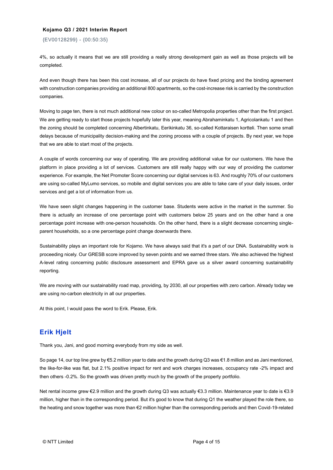{EV00128299} - {00:50:35}

4%, so actually it means that we are still providing a really strong development gain as well as those projects will be completed.

And even though there has been this cost increase, all of our projects do have fixed pricing and the binding agreement with construction companies providing an additional 800 apartments, so the cost-increase risk is carried by the construction companies.

Moving to page ten, there is not much additional new colour on so-called Metropolia properties other than the first project. We are getting ready to start those projects hopefully later this year, meaning Abrahaminkatu 1, Agricolankatu 1 and then the zoning should be completed concerning Albertinkatu, Eerikinkatu 36, so-called Kottaraisen kortteli. Then some small delays because of municipality decision-making and the zoning process with a couple of projects. By next year, we hope that we are able to start most of the projects.

A couple of words concerning our way of operating. We are providing additional value for our customers. We have the platform in place providing a lot of services. Customers are still really happy with our way of providing the customer experience. For example, the Net Promoter Score concerning our digital services is 63. And roughly 70% of our customers are using so-called MyLumo services, so mobile and digital services you are able to take care of your daily issues, order services and get a lot of information from us.

We have seen slight changes happening in the customer base. Students were active in the market in the summer. So there is actually an increase of one percentage point with customers below 25 years and on the other hand a one percentage point increase with one-person households. On the other hand, there is a slight decrease concerning singleparent households, so a one percentage point change downwards there.

Sustainability plays an important role for Kojamo. We have always said that it's a part of our DNA. Sustainability work is proceeding nicely. Our GRESB score improved by seven points and we earned three stars. We also achieved the highest A-level rating concerning public disclosure assessment and EPRA gave us a silver award concerning sustainability reporting.

We are moving with our sustainability road map, providing, by 2030, all our properties with zero carbon. Already today we are using no-carbon electricity in all our properties.

At this point, I would pass the word to Erik. Please, Erik.

# **Erik Hjelt**

Thank you, Jani, and good morning everybody from my side as well.

So page 14, our top line grew by €5.2 million year to date and the growth during Q3 was €1.8 million and as Jani mentioned, the like-for-like was flat, but 2.1% positive impact for rent and work charges increases, occupancy rate -2% impact and then others -0.2%. So the growth was driven pretty much by the growth of the property portfolio.

Net rental income grew €2.9 million and the growth during Q3 was actually €3.3 million. Maintenance year to date is €3.9 million, higher than in the corresponding period. But it's good to know that during Q1 the weather played the role there, so the heating and snow together was more than €2 million higher than the corresponding periods and then Covid-19-related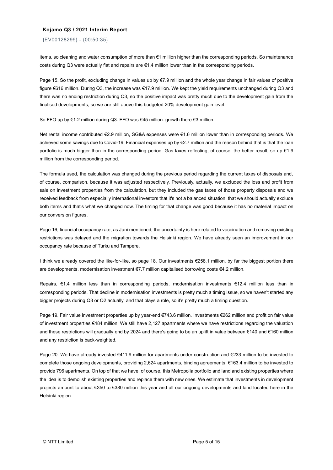{EV00128299} - {00:50:35}

items, so cleaning and water consumption of more than €1 million higher than the corresponding periods. So maintenance costs during Q3 were actually flat and repairs are €1.4 million lower than in the corresponding periods.

Page 15. So the profit, excluding change in values up by €7.9 million and the whole year change in fair values of positive figure €616 million. During Q3, the increase was €17.9 million. We kept the yield requirements unchanged during Q3 and there was no ending restriction during Q3, so the positive impact was pretty much due to the development gain from the finalised developments, so we are still above this budgeted 20% development gain level.

So FFO up by €1.2 million during Q3. FFO was €45 million. growth there €3 million.

Net rental income contributed €2.9 million, SG&A expenses were €1.6 million lower than in corresponding periods. We achieved some savings due to Covid-19. Financial expenses up by €2.7 million and the reason behind that is that the loan portfolio is much bigger than in the corresponding period. Gas taxes reflecting, of course, the better result, so up €1.9 million from the corresponding period.

The formula used, the calculation was changed during the previous period regarding the current taxes of disposals and, of course, comparison, because it was adjusted respectively. Previously, actually, we excluded the loss and profit from sale on investment properties from the calculation, but they included the gas taxes of those property disposals and we received feedback from especially international investors that it's not a balanced situation, that we should actually exclude both items and that's what we changed now. The timing for that change was good because it has no material impact on our conversion figures.

Page 16, financial occupancy rate, as Jani mentioned, the uncertainty is here related to vaccination and removing existing restrictions was delayed and the migration towards the Helsinki region. We have already seen an improvement in our occupancy rate because of Turku and Tampere.

I think we already covered the like-for-like, so page 18. Our investments €258.1 million, by far the biggest portion there are developments, modernisation investment €7.7 million capitalised borrowing costs €4.2 million.

Repairs, €1.4 million less than in corresponding periods, modernisation investments €12.4 million less than in corresponding periods. That decline in modernisation investments is pretty much a timing issue, so we haven't started any bigger projects during Q3 or Q2 actually, and that plays a role, so it's pretty much a timing question.

Page 19. Fair value investment properties up by year-end €743.6 million. Investments €262 million and profit on fair value of investment properties €484 million. We still have 2,127 apartments where we have restrictions regarding the valuation and these restrictions will gradually end by 2024 and there's going to be an uplift in value between €140 and €160 million and any restriction is back-weighted.

Page 20. We have already invested €411.9 million for apartments under construction and €233 million to be invested to complete those ongoing developments, providing 2,624 apartments, binding agreements, €163.4 million to be invested to provide 796 apartments. On top of that we have, of course, this Metropolia portfolio and land and existing properties where the idea is to demolish existing properties and replace them with new ones. We estimate that investments in development projects amount to about €350 to €380 million this year and all our ongoing developments and land located here in the Helsinki region.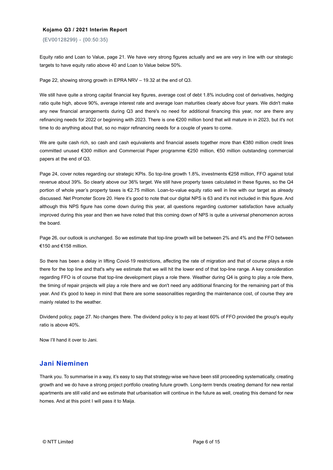{EV00128299} - {00:50:35}

Equity ratio and Loan to Value, page 21. We have very strong figures actually and we are very in line with our strategic targets to have equity ratio above 40 and Loan to Value below 50%.

Page 22, showing strong growth in EPRA NRV – 19.32 at the end of Q3.

We still have quite a strong capital financial key figures, average cost of debt 1.8% including cost of derivatives, hedging ratio quite high, above 90%, average interest rate and average loan maturities clearly above four years. We didn't make any new financial arrangements during Q3 and there's no need for additional financing this year, nor are there any refinancing needs for 2022 or beginning with 2023. There is one €200 million bond that will mature in in 2023, but it's not time to do anything about that, so no major refinancing needs for a couple of years to come.

We are quite cash rich, so cash and cash equivalents and financial assets together more than €380 million credit lines committed unused €300 million and Commercial Paper programme €250 million, €50 million outstanding commercial papers at the end of Q3.

Page 24, cover notes regarding our strategic KPIs. So top-line growth 1.8%, investments €258 million, FFO against total revenue about 39%. So clearly above our 36% target. We still have property taxes calculated in these figures, so the Q4 portion of whole year's property taxes is €2.75 million. Loan-to-value equity ratio well in line with our target as already discussed. Net Promoter Score 20. Here it's good to note that our digital NPS is 63 and it's not included in this figure. And although this NPS figure has come down during this year, all questions regarding customer satisfaction have actually improved during this year and then we have noted that this coming down of NPS is quite a universal phenomenon across the board.

Page 26, our outlook is unchanged. So we estimate that top-line growth will be between 2% and 4% and the FFO between €150 and €158 million.

So there has been a delay in lifting Covid-19 restrictions, affecting the rate of migration and that of course plays a role there for the top line and that's why we estimate that we will hit the lower end of that top-line range. A key consideration regarding FFO is of course that top-line development plays a role there. Weather during Q4 is going to play a role there, the timing of repair projects will play a role there and we don't need any additional financing for the remaining part of this year. And it's good to keep in mind that there are some seasonalities regarding the maintenance cost, of course they are mainly related to the weather.

Dividend policy, page 27. No changes there. The dividend policy is to pay at least 60% of FFO provided the group's equity ratio is above 40%.

Now I'll hand it over to Jani.

#### **Jani Nieminen**

Thank you. To summarise in a way, it's easy to say that strategy-wise we have been still proceeding systematically, creating growth and we do have a strong project portfolio creating future growth. Long-term trends creating demand for new rental apartments are still valid and we estimate that urbanisation will continue in the future as well, creating this demand for new homes. And at this point I will pass it to Maija.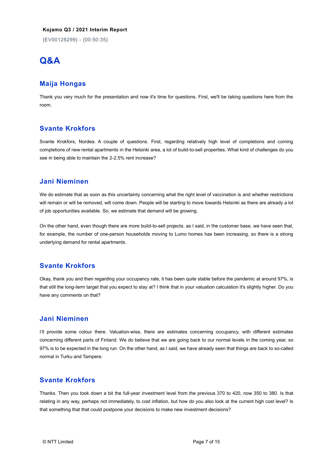{EV00128299} - {00:50:35}

# **Q&A**

#### **Maija Hongas**

Thank you very much for the presentation and now it's time for questions. First, we'll be taking questions here from the room.

# **Svante Krokfors**

Svante Krokfors, Nordea. A couple of questions. First, regarding relatively high level of completions and coming completions of new rental apartments in the Helsinki area, a lot of build-to-sell properties. What kind of challenges do you see in being able to maintain the 2-2.5% rent increase?

#### **Jani Nieminen**

We do estimate that as soon as this uncertainty concerning what the right level of vaccination is and whether restrictions will remain or will be removed, will come down. People will be starting to move towards Helsinki as there are already a lot of job opportunities available. So, we estimate that demand will be growing.

On the other hand, even though there are more build-to-sell projects, as I said, in the customer base, we have seen that, for example, the number of one-person households moving to Lumo homes has been increasing, so there is a strong underlying demand for rental apartments.

# **Svante Krokfors**

Okay, thank you and then regarding your occupancy rate, it has been quite stable before the pandemic at around 97%, is that still the long-term target that you expect to stay at? I think that in your valuation calculation it's slightly higher. Do you have any comments on that?

#### **Jani Nieminen**

I'll provide some colour there. Valuation-wise, there are estimates concerning occupancy, with different estimates concerning different parts of Finland. We do believe that we are going back to our normal levels in the coming year, so 97% is to be expected in the long run. On the other hand, as I said, we have already seen that things are back to so-called normal in Turku and Tampere.

#### **Svante Krokfors**

Thanks. Then you took down a bit the full-year investment level from the previous 370 to 420, now 350 to 380. Is that relating in any way, perhaps not immediately, to cost inflation, but how do you also look at the current high cost level? Is that something that that could postpone your decisions to make new investment decisions?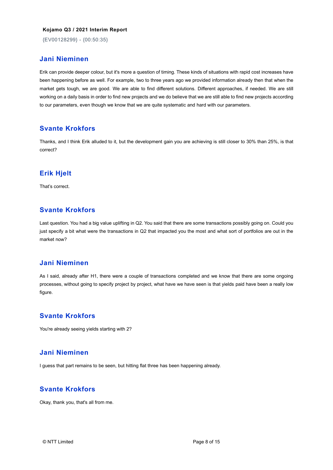{EV00128299} - {00:50:35}

#### **Jani Nieminen**

Erik can provide deeper colour, but it's more a question of timing. These kinds of situations with rapid cost increases have been happening before as well. For example, two to three years ago we provided information already then that when the market gets tough, we are good. We are able to find different solutions. Different approaches, if needed. We are still working on a daily basis in order to find new projects and we do believe that we are still able to find new projects according to our parameters, even though we know that we are quite systematic and hard with our parameters.

#### **Svante Krokfors**

Thanks, and I think Erik alluded to it, but the development gain you are achieving is still closer to 30% than 25%, is that correct?

# **Erik Hjelt**

That's correct.

# **Svante Krokfors**

Last question. You had a big value uplifting in Q2. You said that there are some transactions possibly going on. Could you just specify a bit what were the transactions in Q2 that impacted you the most and what sort of portfolios are out in the market now?

#### **Jani Nieminen**

As I said, already after H1, there were a couple of transactions completed and we know that there are some ongoing processes, without going to specify project by project, what have we have seen is that yields paid have been a really low figure.

## **Svante Krokfors**

You're already seeing yields starting with 2?

#### **Jani Nieminen**

I guess that part remains to be seen, but hitting flat three has been happening already.

## **Svante Krokfors**

Okay, thank you, that's all from me.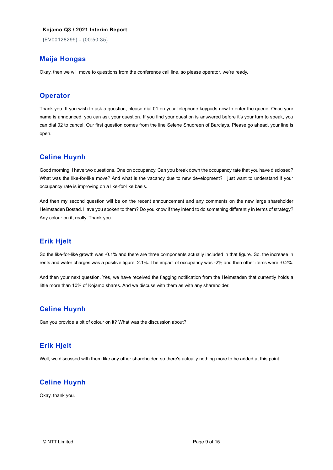{EV00128299} - {00:50:35}

### **Maija Hongas**

Okay, then we will move to questions from the conference call line, so please operator, we're ready.

#### **Operator**

Thank you. If you wish to ask a question, please dial 01 on your telephone keypads now to enter the queue. Once your name is announced, you can ask your question. If you find your question is answered before it's your turn to speak, you can dial 02 to cancel. Our first question comes from the line Selene Shudreen of Barclays. Please go ahead, your line is open.

#### **Celine Huynh**

Good morning. I have two questions. One on occupancy. Can you break down the occupancy rate that you have disclosed? What was the like-for-like move? And what is the vacancy due to new development? I just want to understand if your occupancy rate is improving on a like-for-like basis.

And then my second question will be on the recent announcement and any comments on the new large shareholder Heimstaden Bostad. Have you spoken to them? Do you know if they intend to do something differently in terms of strategy? Any colour on it, really. Thank you.

# **Erik Hjelt**

So the like-for-like growth was -0.1% and there are three components actually included in that figure. So, the increase in rents and water charges was a positive figure, 2.1%. The impact of occupancy was -2% and then other items were -0.2%.

And then your next question. Yes, we have received the flagging notification from the Heimstaden that currently holds a little more than 10% of Kojamo shares. And we discuss with them as with any shareholder.

# **Celine Huynh**

Can you provide a bit of colour on it? What was the discussion about?

#### **Erik Hjelt**

Well, we discussed with them like any other shareholder, so there's actually nothing more to be added at this point.

#### **Celine Huynh**

Okay, thank you.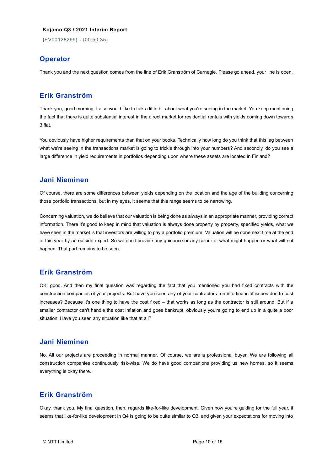{EV00128299} - {00:50:35}

#### **Operator**

Thank you and the next question comes from the line of Erik Granström of Carnegie. Please go ahead, your line is open.

#### **Erik Granström**

Thank you, good morning. I also would like to talk a little bit about what you're seeing in the market. You keep mentioning the fact that there is quite substantial interest in the direct market for residential rentals with yields coming down towards 3 flat.

You obviously have higher requirements than that on your books. Technically how long do you think that this lag between what we're seeing in the transactions market is going to trickle through into your numbers? And secondly, do you see a large difference in yield requirements in portfolios depending upon where these assets are located in Finland?

#### **Jani Nieminen**

Of course, there are some differences between yields depending on the location and the age of the building concerning those portfolio transactions, but in my eyes, it seems that this range seems to be narrowing.

Concerning valuation, we do believe that our valuation is being done as always in an appropriate manner, providing correct information. There it's good to keep in mind that valuation is always done property by property, specified yields, what we have seen in the market is that investors are willing to pay a portfolio premium. Valuation will be done next time at the end of this year by an outside expert. So we don't provide any guidance or any colour of what might happen or what will not happen. That part remains to be seen.

#### **Erik Granström**

OK, good. And then my final question was regarding the fact that you mentioned you had fixed contracts with the construction companies of your projects. But have you seen any of your contractors run into financial issues due to cost increases? Because it's one thing to have the cost fixed – that works as long as the contractor is still around. But if a smaller contractor can't handle the cost inflation and goes bankrupt, obviously you're going to end up in a quite a poor situation. Have you seen any situation like that at all?

#### **Jani Nieminen**

No. All our projects are proceeding in normal manner. Of course, we are a professional buyer. We are following all construction companies continuously risk-wise. We do have good companions providing us new homes, so it seems everything is okay there.

#### **Erik Granström**

Okay, thank you. My final question, then, regards like-for-like development. Given how you're guiding for the full year, it seems that like-for-like development in Q4 is going to be quite similar to Q3, and given your expectations for moving into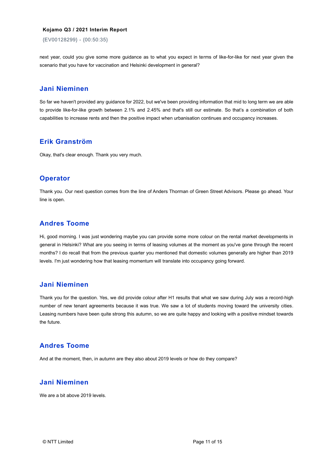{EV00128299} - {00:50:35}

next year, could you give some more guidance as to what you expect in terms of like-for-like for next year given the scenario that you have for vaccination and Helsinki development in general?

#### **Jani Nieminen**

So far we haven't provided any guidance for 2022, but we've been providing information that mid to long term we are able to provide like-for-like growth between 2.1% and 2.45% and that's still our estimate. So that's a combination of both capabilities to increase rents and then the positive impact when urbanisation continues and occupancy increases.

#### **Erik Granström**

Okay, that's clear enough. Thank you very much.

# **Operator**

Thank you. Our next question comes from the line of Anders Thorman of Green Street Advisors. Please go ahead. Your line is open.

## **Andres Toome**

Hi, good morning. I was just wondering maybe you can provide some more colour on the rental market developments in general in Helsinki? What are you seeing in terms of leasing volumes at the moment as you've gone through the recent months? I do recall that from the previous quarter you mentioned that domestic volumes generally are higher than 2019 levels. I'm just wondering how that leasing momentum will translate into occupancy going forward.

#### **Jani Nieminen**

Thank you for the question. Yes, we did provide colour after H1 results that what we saw during July was a record-high number of new tenant agreements because it was true. We saw a lot of students moving toward the university cities. Leasing numbers have been quite strong this autumn, so we are quite happy and looking with a positive mindset towards the future.

#### **Andres Toome**

And at the moment, then, in autumn are they also about 2019 levels or how do they compare?

#### **Jani Nieminen**

We are a bit above 2019 levels.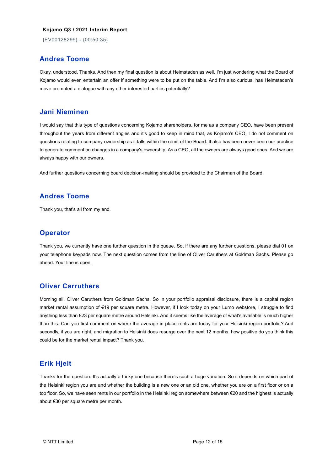{EV00128299} - {00:50:35}

#### **Andres Toome**

Okay, understood. Thanks. And then my final question is about Heimstaden as well. I'm just wondering what the Board of Kojamo would even entertain an offer if something were to be put on the table. And I'm also curious, has Heimstaden's move prompted a dialogue with any other interested parties potentially?

#### **Jani Nieminen**

I would say that this type of questions concerning Kojamo shareholders, for me as a company CEO, have been present throughout the years from different angles and it's good to keep in mind that, as Kojamo's CEO, I do not comment on questions relating to company ownership as it falls within the remit of the Board. It also has been never been our practice to generate comment on changes in a company's ownership. As a CEO, all the owners are always good ones. And we are always happy with our owners.

And further questions concerning board decision-making should be provided to the Chairman of the Board.

#### **Andres Toome**

Thank you, that's all from my end.

#### **Operator**

Thank you, we currently have one further question in the queue. So, if there are any further questions, please dial 01 on your telephone keypads now. The next question comes from the line of Oliver Caruthers at Goldman Sachs. Please go ahead. Your line is open.

#### **Oliver Carruthers**

Morning all. Oliver Caruthers from Goldman Sachs. So in your portfolio appraisal disclosure, there is a capital region market rental assumption of €19 per square metre. However, if I look today on your Lumo webstore, I struggle to find anything less than €23 per square metre around Helsinki. And it seems like the average of what's available is much higher than this. Can you first comment on where the average in place rents are today for your Helsinki region portfolio? And secondly, if you are right, and migration to Helsinki does resurge over the next 12 months, how positive do you think this could be for the market rental impact? Thank you.

#### **Erik Hjelt**

Thanks for the question. It's actually a tricky one because there's such a huge variation. So it depends on which part of the Helsinki region you are and whether the building is a new one or an old one, whether you are on a first floor or on a top floor. So, we have seen rents in our portfolio in the Helsinki region somewhere between €20 and the highest is actually about €30 per square metre per month.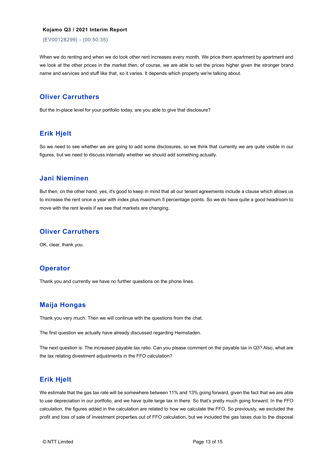{EV00128299} - {00:50:35}

When we do renting and when we do look other rent increases every month. We price them apartment by apartment and we look at the other prices in the market then, of course, we are able to set the prices higher given the stronger brand name and services and stuff like that, so it varies. It depends which property we're talking about.

# **Oliver Carruthers**

But the in-place level for your portfolio today, are you able to give that disclosure?

#### **Erik Hjelt**

So we need to see whether we are going to add some disclosures, so we think that currently we are quite visible in our figures, but we need to discuss internally whether we should add something actually.

#### **Jani Nieminen**

But then, on the other hand, yes, it's good to keep in mind that all our tenant agreements include a clause which allows us to increase the rent once a year with index plus maximum 5 percentage points. So we do have quite a good headroom to move with the rent levels if we see that markets are changing.

#### **Oliver Carruthers**

OK, clear, thank you.

#### **Operator**

Thank you and currently we have no further questions on the phone lines.

#### **Maija Hongas**

Thank you very much. Then we will continue with the questions from the chat.

The first question we actually have already discussed regarding Heimstaden.

The next question is: The increased payable tax ratio. Can you please comment on the payable tax in Q3? Also, what are the tax relating divestment adjustments in the FFO calculation?

#### **Erik Hjelt**

We estimate that the gas tax rate will be somewhere between 11% and 13% going forward, given the fact that we are able to use depreciation in our portfolio, and we have quite large tax in there. So that's pretty much going forward. In the FFO calculation, the figures added in the calculation are related to how we calculate the FFO. So previously, we excluded the profit and loss of sale of investment properties out of FFO calculation, but we included the gas taxes due to the disposal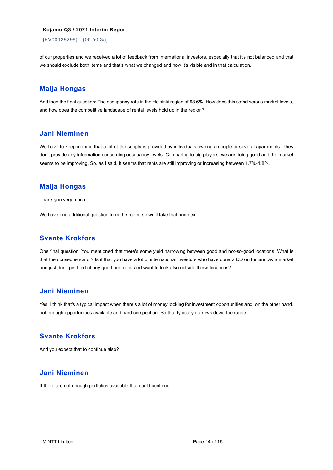{EV00128299} - {00:50:35}

of our properties and we received a lot of feedback from international investors, especially that it's not balanced and that we should exclude both items and that's what we changed and now it's visible and in that calculation.

#### **Maija Hongas**

And then the final question: The occupancy rate in the Helsinki region of 93.6%. How does this stand versus market levels, and how does the competitive landscape of rental levels hold up in the region?

#### **Jani Nieminen**

We have to keep in mind that a lot of the supply is provided by individuals owning a couple or several apartments. They don't provide any information concerning occupancy levels. Comparing to big players, we are doing good and the market seems to be improving. So, as I said, it seems that rents are still improving or increasing between 1.7%-1.8%.

#### **Maija Hongas**

Thank you very much.

We have one additional question from the room, so we'll take that one next.

#### **Svante Krokfors**

One final question. You mentioned that there's some yield narrowing between good and not-so-good locations. What is that the consequence of? Is it that you have a lot of international investors who have done a DD on Finland as a market and just don't get hold of any good portfolios and want to look also outside those locations?

# **Jani Nieminen**

Yes, I think that's a typical impact when there's a lot of money looking for investment opportunities and, on the other hand, not enough opportunities available and hard competition. So that typically narrows down the range.

#### **Svante Krokfors**

And you expect that to continue also?

## **Jani Nieminen**

If there are not enough portfolios available that could continue.